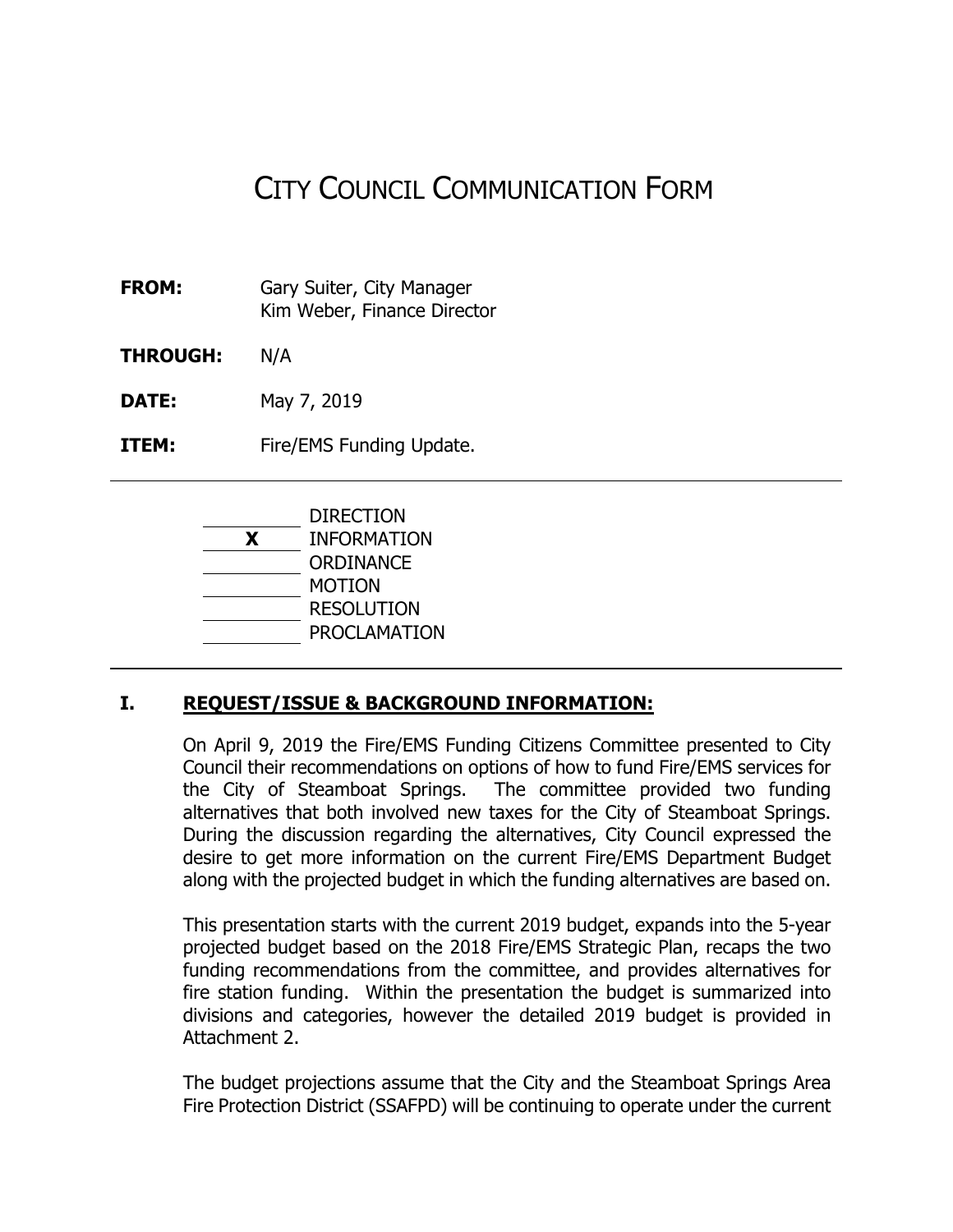# CITY COUNCIL COMMUNICATION FORM

- **FROM:** Gary Suiter, City Manager Kim Weber, Finance Director
- **THROUGH:** N/A

**DATE:** May 7, 2019

**ITEM:** Fire/EMS Funding Update.



#### **I. REQUEST/ISSUE & BACKGROUND INFORMATION:**

On April 9, 2019 the Fire/EMS Funding Citizens Committee presented to City Council their recommendations on options of how to fund Fire/EMS services for the City of Steamboat Springs. The committee provided two funding alternatives that both involved new taxes for the City of Steamboat Springs. During the discussion regarding the alternatives, City Council expressed the desire to get more information on the current Fire/EMS Department Budget along with the projected budget in which the funding alternatives are based on.

This presentation starts with the current 2019 budget, expands into the 5-year projected budget based on the 2018 Fire/EMS Strategic Plan, recaps the two funding recommendations from the committee, and provides alternatives for fire station funding. Within the presentation the budget is summarized into divisions and categories, however the detailed 2019 budget is provided in Attachment 2.

The budget projections assume that the City and the Steamboat Springs Area Fire Protection District (SSAFPD) will be continuing to operate under the current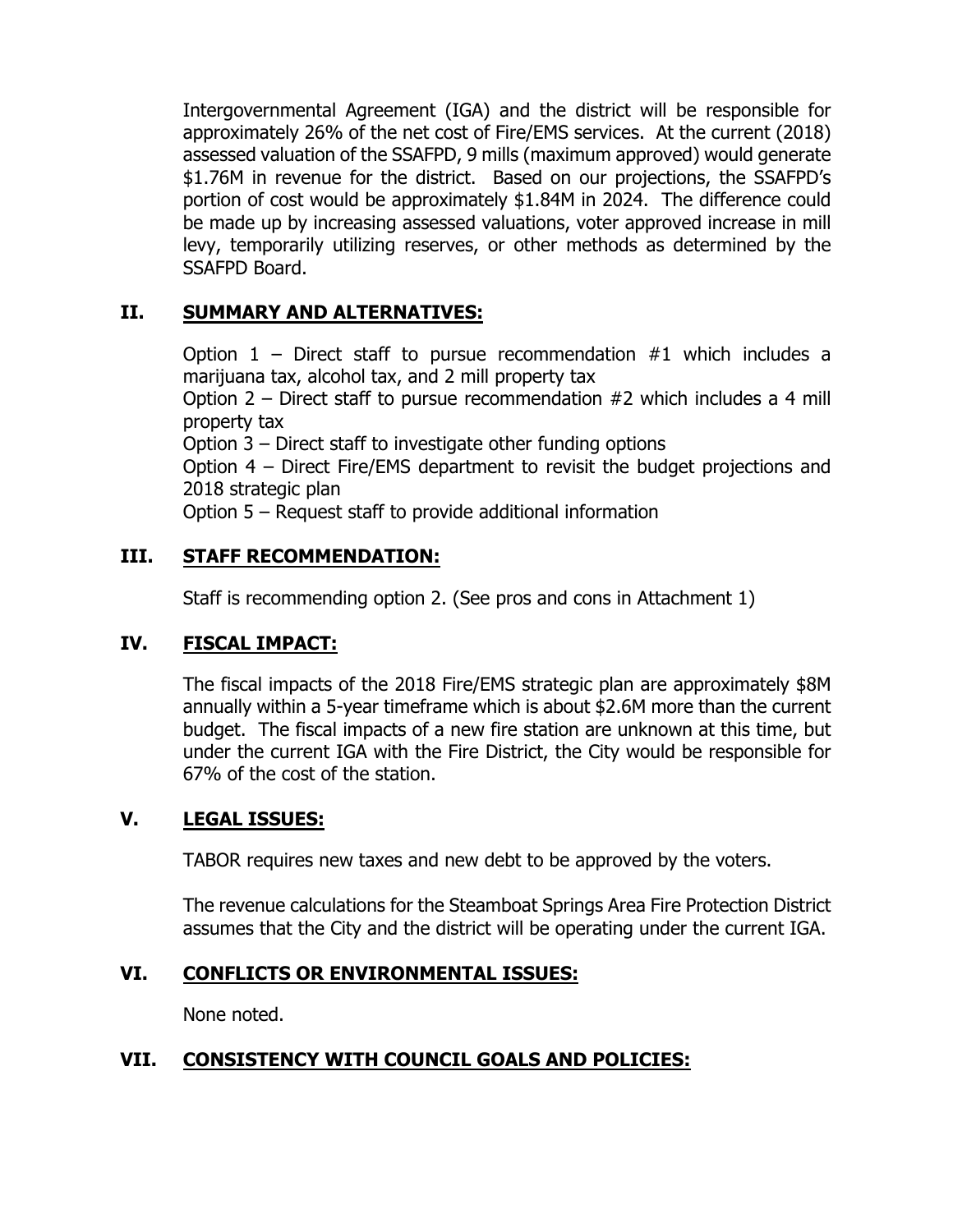Intergovernmental Agreement (IGA) and the district will be responsible for approximately 26% of the net cost of Fire/EMS services. At the current (2018) assessed valuation of the SSAFPD, 9 mills (maximum approved) would generate \$1.76M in revenue for the district. Based on our projections, the SSAFPD's portion of cost would be approximately \$1.84M in 2024. The difference could be made up by increasing assessed valuations, voter approved increase in mill levy, temporarily utilizing reserves, or other methods as determined by the SSAFPD Board.

## **II. SUMMARY AND ALTERNATIVES:**

Option  $1$  – Direct staff to pursue recommendation  $#1$  which includes a marijuana tax, alcohol tax, and 2 mill property tax

Option 2 – Direct staff to pursue recommendation #2 which includes a 4 mill property tax

Option 3 – Direct staff to investigate other funding options

Option 4 – Direct Fire/EMS department to revisit the budget projections and 2018 strategic plan

Option 5 – Request staff to provide additional information

## **III. STAFF RECOMMENDATION:**

Staff is recommending option 2. (See pros and cons in Attachment 1)

## **IV. FISCAL IMPACT:**

The fiscal impacts of the 2018 Fire/EMS strategic plan are approximately \$8M annually within a 5-year timeframe which is about \$2.6M more than the current budget. The fiscal impacts of a new fire station are unknown at this time, but under the current IGA with the Fire District, the City would be responsible for 67% of the cost of the station.

## **V. LEGAL ISSUES:**

TABOR requires new taxes and new debt to be approved by the voters.

The revenue calculations for the Steamboat Springs Area Fire Protection District assumes that the City and the district will be operating under the current IGA.

## **VI. CONFLICTS OR ENVIRONMENTAL ISSUES:**

None noted.

## **VII. CONSISTENCY WITH COUNCIL GOALS AND POLICIES:**